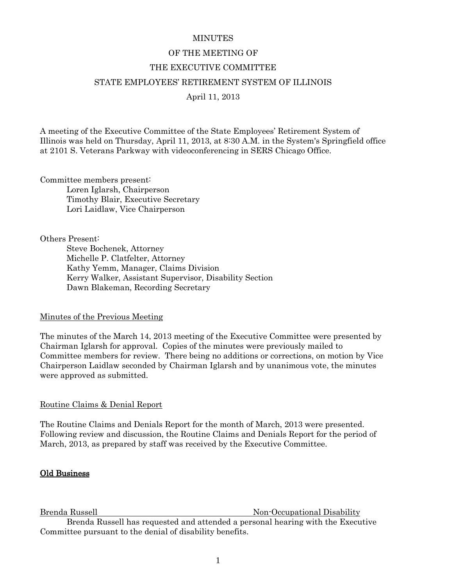### **MINUTES**

# OF THE MEETING OF THE EXECUTIVE COMMITTEE STATE EMPLOYEES' RETIREMENT SYSTEM OF ILLINOIS April 11, 2013

A meeting of the Executive Committee of the State Employees' Retirement System of Illinois was held on Thursday, April 11, 2013, at 8:30 A.M. in the System's Springfield office at 2101 S. Veterans Parkway with videoconferencing in SERS Chicago Office.

Committee members present:

Loren Iglarsh, Chairperson Timothy Blair, Executive Secretary Lori Laidlaw, Vice Chairperson

Others Present:

Steve Bochenek, Attorney Michelle P. Clatfelter, Attorney Kathy Yemm, Manager, Claims Division Kerry Walker, Assistant Supervisor, Disability Section Dawn Blakeman, Recording Secretary

### Minutes of the Previous Meeting

The minutes of the March 14, 2013 meeting of the Executive Committee were presented by Chairman Iglarsh for approval. Copies of the minutes were previously mailed to Committee members for review. There being no additions or corrections, on motion by Vice Chairperson Laidlaw seconded by Chairman Iglarsh and by unanimous vote, the minutes were approved as submitted.

# Routine Claims & Denial Report

The Routine Claims and Denials Report for the month of March, 2013 were presented. Following review and discussion, the Routine Claims and Denials Report for the period of March, 2013, as prepared by staff was received by the Executive Committee.

# Old Business

Brenda Russell Non-Occupational Disability

Brenda Russell has requested and attended a personal hearing with the Executive Committee pursuant to the denial of disability benefits.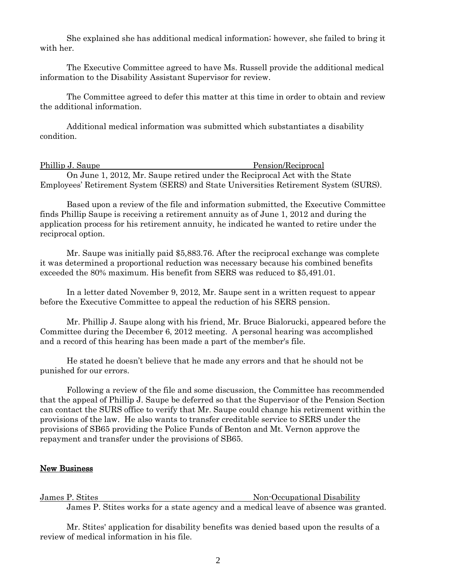She explained she has additional medical information; however, she failed to bring it with her.

The Executive Committee agreed to have Ms. Russell provide the additional medical information to the Disability Assistant Supervisor for review.

The Committee agreed to defer this matter at this time in order to obtain and review the additional information.

Additional medical information was submitted which substantiates a disability condition.

# Phillip J. Saupe Pension/Reciprocal

On June 1, 2012, Mr. Saupe retired under the Reciprocal Act with the State Employees' Retirement System (SERS) and State Universities Retirement System (SURS).

Based upon a review of the file and information submitted, the Executive Committee finds Phillip Saupe is receiving a retirement annuity as of June 1, 2012 and during the application process for his retirement annuity, he indicated he wanted to retire under the reciprocal option.

Mr. Saupe was initially paid \$5,883.76. After the reciprocal exchange was complete it was determined a proportional reduction was necessary because his combined benefits exceeded the 80% maximum. His benefit from SERS was reduced to \$5,491.01.

In a letter dated November 9, 2012, Mr. Saupe sent in a written request to appear before the Executive Committee to appeal the reduction of his SERS pension.

Mr. Phillip J. Saupe along with his friend, Mr. Bruce Bialorucki, appeared before the Committee during the December 6, 2012 meeting. A personal hearing was accomplished and a record of this hearing has been made a part of the member's file.

He stated he doesn't believe that he made any errors and that he should not be punished for our errors.

Following a review of the file and some discussion, the Committee has recommended that the appeal of Phillip J. Saupe be deferred so that the Supervisor of the Pension Section can contact the SURS office to verify that Mr. Saupe could change his retirement within the provisions of the law. He also wants to transfer creditable service to SERS under the provisions of SB65 providing the Police Funds of Benton and Mt. Vernon approve the repayment and transfer under the provisions of SB65.

### New Business

James P. Stites Non-Occupational Disability James P. Stites works for a state agency and a medical leave of absence was granted.

Mr. Stites' application for disability benefits was denied based upon the results of a review of medical information in his file.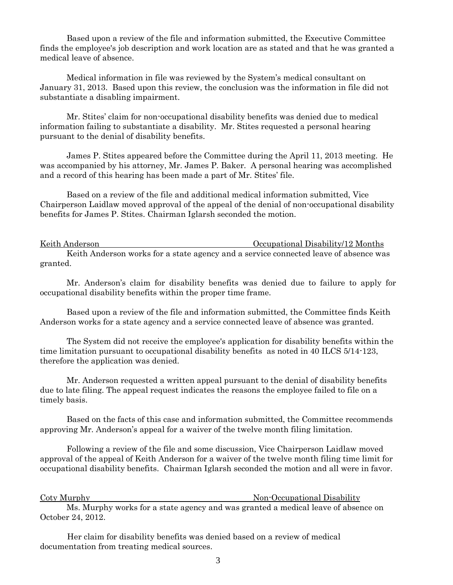Based upon a review of the file and information submitted, the Executive Committee finds the employee's job description and work location are as stated and that he was granted a medical leave of absence.

Medical information in file was reviewed by the System's medical consultant on January 31, 2013. Based upon this review, the conclusion was the information in file did not substantiate a disabling impairment.

Mr. Stites' claim for non-occupational disability benefits was denied due to medical information failing to substantiate a disability. Mr. Stites requested a personal hearing pursuant to the denial of disability benefits.

James P. Stites appeared before the Committee during the April 11, 2013 meeting. He was accompanied by his attorney, Mr. James P. Baker. A personal hearing was accomplished and a record of this hearing has been made a part of Mr. Stites' file.

Based on a review of the file and additional medical information submitted, Vice Chairperson Laidlaw moved approval of the appeal of the denial of non-occupational disability benefits for James P. Stites. Chairman Iglarsh seconded the motion.

Keith Anderson **Occupational Disability**/12 Months Keith Anderson works for a state agency and a service connected leave of absence was granted.

Mr. Anderson's claim for disability benefits was denied due to failure to apply for occupational disability benefits within the proper time frame.

Based upon a review of the file and information submitted, the Committee finds Keith Anderson works for a state agency and a service connected leave of absence was granted.

The System did not receive the employee's application for disability benefits within the time limitation pursuant to occupational disability benefits as noted in 40 ILCS 5/14-123, therefore the application was denied.

Mr. Anderson requested a written appeal pursuant to the denial of disability benefits due to late filing. The appeal request indicates the reasons the employee failed to file on a timely basis.

Based on the facts of this case and information submitted, the Committee recommends approving Mr. Anderson's appeal for a waiver of the twelve month filing limitation.

Following a review of the file and some discussion, Vice Chairperson Laidlaw moved approval of the appeal of Keith Anderson for a waiver of the twelve month filing time limit for occupational disability benefits. Chairman Iglarsh seconded the motion and all were in favor.

Coty Murphy Non-Occupational Disability

Ms. Murphy works for a state agency and was granted a medical leave of absence on October 24, 2012.

 Her claim for disability benefits was denied based on a review of medical documentation from treating medical sources.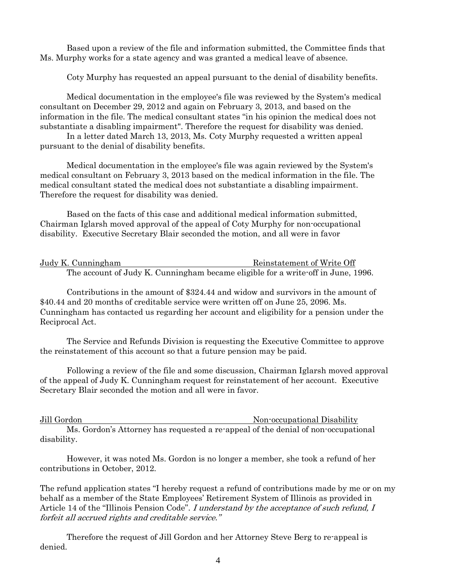Based upon a review of the file and information submitted, the Committee finds that Ms. Murphy works for a state agency and was granted a medical leave of absence.

Coty Murphy has requested an appeal pursuant to the denial of disability benefits.

Medical documentation in the employee's file was reviewed by the System's medical consultant on December 29, 2012 and again on February 3, 2013, and based on the information in the file. The medical consultant states "in his opinion the medical does not substantiate a disabling impairment". Therefore the request for disability was denied.

In a letter dated March 13, 2013, Ms. Coty Murphy requested a written appeal pursuant to the denial of disability benefits.

Medical documentation in the employee's file was again reviewed by the System's medical consultant on February 3, 2013 based on the medical information in the file. The medical consultant stated the medical does not substantiate a disabling impairment. Therefore the request for disability was denied.

Based on the facts of this case and additional medical information submitted, Chairman Iglarsh moved approval of the appeal of Coty Murphy for non-occupational disability. Executive Secretary Blair seconded the motion, and all were in favor

| Judy K. Cunningham | Reinstatement of Write Off                                                       |
|--------------------|----------------------------------------------------------------------------------|
|                    | The account of Judy K. Cunningham became eligible for a write off in June, 1996. |

Contributions in the amount of \$324.44 and widow and survivors in the amount of \$40.44 and 20 months of creditable service were written off on June 25, 2096. Ms. Cunningham has contacted us regarding her account and eligibility for a pension under the Reciprocal Act.

The Service and Refunds Division is requesting the Executive Committee to approve the reinstatement of this account so that a future pension may be paid.

Following a review of the file and some discussion, Chairman Iglarsh moved approval of the appeal of Judy K. Cunningham request for reinstatement of her account. Executive Secretary Blair seconded the motion and all were in favor.

Jill Gordon Non-occupational Disability Ms. Gordon's Attorney has requested a re-appeal of the denial of non-occupational disability.

However, it was noted Ms. Gordon is no longer a member, she took a refund of her contributions in October, 2012.

The refund application states "I hereby request a refund of contributions made by me or on my behalf as a member of the State Employees' Retirement System of Illinois as provided in Article 14 of the "Illinois Pension Code". I understand by the acceptance of such refund, I forfeit all accrued rights and creditable service."

Therefore the request of Jill Gordon and her Attorney Steve Berg to re-appeal is denied.